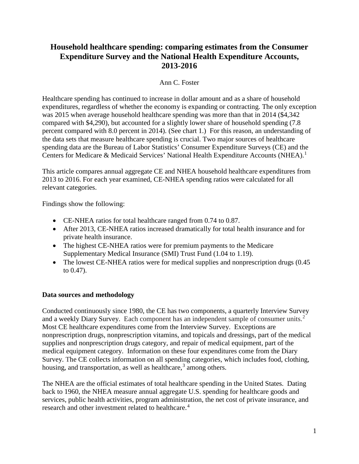# **Household healthcare spending: comparing estimates from the Consumer Expenditure Survey and the National Health Expenditure Accounts, 2013-2016**

### Ann C. Foster

Healthcare spending has continued to increase in dollar amount and as a share of household expenditures, regardless of whether the economy is expanding or contracting. The only exception was 2015 when average household healthcare spending was more than that in 2014 (\$4,342 compared with \$4,290), but accounted for a slightly lower share of household spending (7.8 percent compared with 8.0 percent in 2014). (See chart 1.) For this reason, an understanding of the data sets that measure healthcare spending is crucial. Two major sources of healthcare spending data are the Bureau of Labor Statistics' Consumer Expenditure Surveys (CE) and the Centers for Medicare & Medicaid Services' National Health Expenditure Accounts (NHEA).<sup>[1](#page-5-0)</sup>

This article compares annual aggregate CE and NHEA household healthcare expenditures from 2013 to 2016. For each year examined, CE-NHEA spending ratios were calculated for all relevant categories.

Findings show the following:

- CE-NHEA ratios for total healthcare ranged from 0.74 to 0.87.
- After 2013, CE-NHEA ratios increased dramatically for total health insurance and for private health insurance.
- The highest CE-NHEA ratios were for premium payments to the Medicare Supplementary Medical Insurance (SMI) Trust Fund (1.04 to 1.19).
- The lowest CE-NHEA ratios were for medical supplies and nonprescription drugs (0.45) to 0.47).

### **Data sources and methodology**

Conducted continuously since 1980, the CE has two components, a quarterly Interview Survey and a weekly Diary Survey. Each component has an independent sample of consumer units. $2$ Most CE healthcare expenditures come from the Interview Survey. Exceptions are nonprescription drugs, nonprescription vitamins, and topicals and dressings, part of the medical supplies and nonprescription drugs category, and repair of medical equipment, part of the medical equipment category. Information on these four expenditures come from the Diary Survey. The CE collects information on all spending categories, which includes food, clothing, housing, and transportation, as well as healthcare,<sup>[3](#page-5-2)</sup> among others.

The NHEA are the official estimates of total healthcare spending in the United States. Dating back to 1960, the NHEA measure annual aggregate U.S. spending for healthcare goods and services, public health activities, program administration, the net cost of private insurance, and research and other investment related to healthcare. [4](#page-5-3)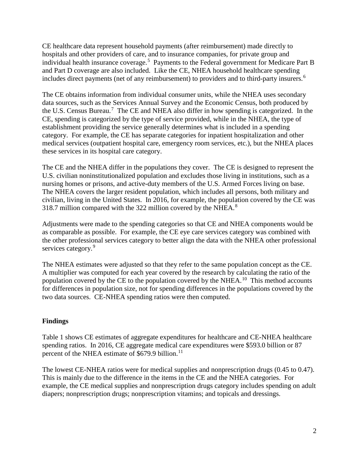CE healthcare data represent household payments (after reimbursement) made directly to hospitals and other providers of care, and to insurance companies, for private group and individual health insurance coverage.<sup>[5](#page-6-0)</sup> Payments to the Federal government for Medicare Part B and Part D coverage are also included. Like the CE, NHEA household healthcare spending includes direct payments (net of any reimbursement) to providers and to third-party insurers.<sup>[6](#page-6-1)</sup>

The CE obtains information from individual consumer units, while the NHEA uses secondary data sources, such as the Services Annual Survey and the Economic Census, both produced by the U.S. Census Bureau.<sup>[7](#page-6-2)</sup> The CE and NHEA also differ in how spending is categorized. In the CE, spending is categorized by the type of service provided, while in the NHEA, the type of establishment providing the service generally determines what is included in a spending category. For example, the CE has separate categories for inpatient hospitalization and other medical services (outpatient hospital care, emergency room services, etc.), but the NHEA places these services in its hospital care category.

The CE and the NHEA differ in the populations they cover. The CE is designed to represent the U.S. civilian noninstitutionalized population and excludes those living in institutions, such as a nursing homes or prisons, and active-duty members of the U.S. Armed Forces living on base. The NHEA covers the larger resident population, which includes all persons, both military and civilian, living in the United States. In 2016, for example, the population covered by the CE was 31[8](#page-6-3).7 million compared with the 322 million covered by the NHEA. $8$ 

Adjustments were made to the spending categories so that CE and NHEA components would be as comparable as possible. For example, the CE eye care services category was combined with the other professional services category to better align the data with the NHEA other professional services category.<sup>[9](#page-6-4)</sup>

The NHEA estimates were adjusted so that they refer to the same population concept as the CE. A multiplier was computed for each year covered by the research by calculating the ratio of the population covered by the CE to the population covered by the NHEA.<sup>[10](#page-7-0)</sup> This method accounts for differences in population size, not for spending differences in the populations covered by the two data sources. CE-NHEA spending ratios were then computed.

## **Findings**

Table 1 shows CE estimates of aggregate expenditures for healthcare and CE-NHEA healthcare spending ratios. In 2016, CE aggregate medical care expenditures were \$593.0 billion or 87 percent of the NHEA estimate of \$679.9 billion.<sup>[11](#page-7-1)</sup>

The lowest CE-NHEA ratios were for medical supplies and nonprescription drugs (0.45 to 0.47). This is mainly due to the difference in the items in the CE and the NHEA categories. For example, the CE medical supplies and nonprescription drugs category includes spending on adult diapers; nonprescription drugs; nonprescription vitamins; and topicals and dressings.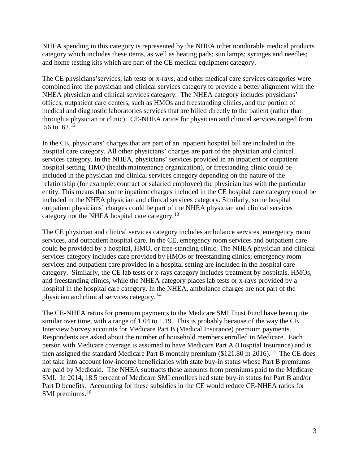NHEA spending in this category is represented by the NHEA other nondurable medical products category which includes these items, as well as heating pads; sun lamps; syringes and needles; and home testing kits which are part of the CE medical equipment category.

The CE physicians'services, lab tests or x-rays, and other medical care services categories were combined into the physician and clinical services category to provide a better alignment with the NHEA physician and clinical services category. The NHEA category includes physicians' offices, outpatient care centers, such as HMOs and freestanding clinics, and the portion of medical and diagnostic laboratories services that are billed directly to the patient (rather than through a physician or clinic). CE-NHEA ratios for physician and clinical services ranged from .56 to .62.<sup>[12](#page-7-2)</sup>

In the CE, physicians' charges that are part of an inpatient hospital bill are included in the hospital care category. All other physicians' charges are part of the physician and clinical services category. In the NHEA, physicians' services provided in an inpatient or outpatient hospital setting, HMO (health maintenance organization), or freestanding clinic could be included in the physician and clinical services category depending on the nature of the relationship (for example: contract or salaried employee) the physician has with the particular entity. This means that some inpatient charges included in the CE hospital care category could be included in the NHEA physician and clinical services category. Similarly, some hospital outpatient physicians' charges could be part of the NHEA physician and clinical services category not the NHEA hospital care category.<sup>[13](#page-7-3)</sup>

The CE physician and clinical services category includes ambulance services, emergency room services, and outpatient hospital care. In the CE, emergency room services and outpatient care could be provided by a hospital, HMO, or free-standing clinic. The NHEA physician and clinical services category includes care provided by HMOs or freestanding clinics; emergency room services and outpatient care provided in a hospital setting are included in the hospital care category. Similarly, the CE lab tests or x-rays category includes treatment by hospitals, HMOs, and freestanding clinics, while the NHEA category places lab tests or x-rays provided by a hospital in the hospital care category. In the NHEA, ambulance charges are not part of the physician and clinical services category.<sup>[14](#page-7-4)</sup>

The CE-NHEA ratios for premium payments to the Medicare SMI Trust Fund have been quite similar over time, with a range of 1.04 to 1.19. This is probably because of the way the CE Interview Survey accounts for Medicare Part B (Medical Insurance) premium payments. Respondents are asked about the number of household members enrolled in Medicare. Each person with Medicare coverage is assumed to have Medicare Part A (Hospital Insurance) and is then assigned the standard Medicare Part B monthly premium  $(\$121.80$  in 2016).<sup>[15](#page-7-5)</sup> The CE does not take into account low-income beneficiaries with state buy-in status whose Part B premiums are paid by Medicaid. The NHEA subtracts these amounts from premiums paid to the Medicare SMI. In 2014, 18.5 percent of Medicare SMI enrollees had state buy-in status for Part B and/or Part D benefits. Accounting for these subsidies in the CE would reduce CE-NHEA ratios for SMI premiums.<sup>[16](#page-8-0)</sup>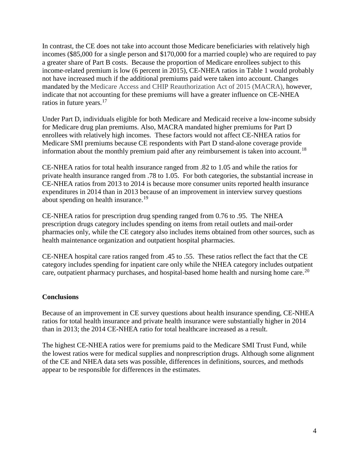In contrast, the CE does not take into account those Medicare beneficiaries with relatively high incomes (\$85,000 for a single person and \$170,000 for a married couple) who are required to pay a greater share of Part B costs. Because the proportion of Medicare enrollees subject to this income-related premium is low (6 percent in 2015), CE-NHEA ratios in Table 1 would probably not have increased much if the additional premiums paid were taken into account. Changes mandated by the Medicare Access and CHIP Reauthorization Act of 2015 (MACRA), however, indicate that not accounting for these premiums will have a greater influence on CE-NHEA ratios in future years. [17](#page-8-1) 

Under Part D, individuals eligible for both Medicare and Medicaid receive a low-income subsidy for Medicare drug plan premiums. Also, MACRA mandated higher premiums for Part D enrollees with relatively high incomes. These factors would not affect CE-NHEA ratios for Medicare SMI premiums because CE respondents with Part D stand-alone coverage provide information about the monthly premium paid after any reimbursement is taken into account.<sup>18</sup>

CE-NHEA ratios for total health insurance ranged from .82 to 1.05 and while the ratios for private health insurance ranged from .78 to 1.05. For both categories, the substantial increase in CE-NHEA ratios from 2013 to 2014 is because more consumer units reported health insurance expenditures in 2014 than in 2013 because of an improvement in interview survey questions about spending on health insurance.<sup>19</sup>

CE-NHEA ratios for prescription drug spending ranged from 0.76 to .95. The NHEA prescription drugs category includes spending on items from retail outlets and mail-order pharmacies only, while the CE category also includes items obtained from other sources, such as health maintenance organization and outpatient hospital pharmacies.

CE-NHEA hospital care ratios ranged from .45 to .55. These ratios reflect the fact that the CE category includes spending for inpatient care only while the NHEA category includes outpatient care, outpatient pharmacy purchases, and hospital-based home health and nursing home care.<sup>20</sup>

### **Conclusions**

Because of an improvement in CE survey questions about health insurance spending, CE-NHEA ratios for total health insurance and private health insurance were substantially higher in 2014 than in 2013; the 2014 CE-NHEA ratio for total healthcare increased as a result.

The highest CE-NHEA ratios were for premiums paid to the Medicare SMI Trust Fund, while the lowest ratios were for medical supplies and nonprescription drugs. Although some alignment of the CE and NHEA data sets was possible, differences in definitions, sources, and methods appear to be responsible for differences in the estimates.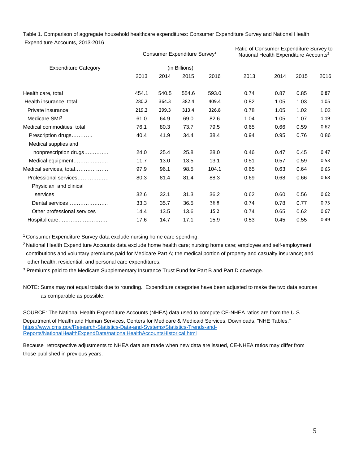Table 1. Comparison of aggregate household healthcare expenditures: Consumer Expenditure Survey and National Health Expenditure Accounts, 2013-2016

|                             | Consumer Expenditure Survey <sup>1</sup><br>(in Billions) |       |       |       | Ratio of Consumer Expenditure Survey to<br>National Health Expenditure Accounts <sup>2</sup> |      |      |      |
|-----------------------------|-----------------------------------------------------------|-------|-------|-------|----------------------------------------------------------------------------------------------|------|------|------|
| <b>Expenditure Category</b> |                                                           |       |       |       |                                                                                              |      |      |      |
|                             | 2013                                                      | 2014  | 2015  | 2016  | 2013                                                                                         | 2014 | 2015 | 2016 |
| Health care, total          | 454.1                                                     | 540.5 | 554.6 | 593.0 | 0.74                                                                                         | 0.87 | 0.85 | 0.87 |
| Health insurance, total     | 280.2                                                     | 364.3 | 382.4 | 409.4 | 0.82                                                                                         | 1.05 | 1.03 | 1.05 |
| Private insurance           | 219.2                                                     | 299.3 | 313.4 | 326.8 | 0.78                                                                                         | 1.05 | 1.02 | 1.02 |
| Medicare SMI <sup>3</sup>   | 61.0                                                      | 64.9  | 69.0  | 82.6  | 1.04                                                                                         | 1.05 | 1.07 | 1.19 |
| Medical commodities, total  | 76.1                                                      | 80.3  | 73.7  | 79.5  | 0.65                                                                                         | 0.66 | 0.59 | 0.62 |
| Prescription drugs          | 40.4                                                      | 41.9  | 34.4  | 38.4  | 0.94                                                                                         | 0.95 | 0.76 | 0.86 |
| Medical supplies and        |                                                           |       |       |       |                                                                                              |      |      |      |
| nonprescription drugs       | 24.0                                                      | 25.4  | 25.8  | 28.0  | 0.46                                                                                         | 0.47 | 0.45 | 0.47 |
| Medical equipment           | 11.7                                                      | 13.0  | 13.5  | 13.1  | 0.51                                                                                         | 0.57 | 0.59 | 0.53 |
| Medical services. total     | 97.9                                                      | 96.1  | 98.5  | 104.1 | 0.65                                                                                         | 0.63 | 0.64 | 0.65 |
| Professional services       | 80.3                                                      | 81.4  | 81.4  | 88.3  | 0.69                                                                                         | 0.68 | 0.66 | 0.68 |
| Physician and clinical      |                                                           |       |       |       |                                                                                              |      |      |      |
| services                    | 32.6                                                      | 32.1  | 31.3  | 36.2  | 0.62                                                                                         | 0.60 | 0.56 | 0.62 |
| Dental services             | 33.3                                                      | 35.7  | 36.5  | 36.8  | 0.74                                                                                         | 0.78 | 0.77 | 0.75 |
| Other professional services | 14.4                                                      | 13.5  | 13.6  | 15.2  | 0.74                                                                                         | 0.65 | 0.62 | 0.67 |
| Hospital care               | 17.6                                                      | 14.7  | 17.1  | 15.9  | 0.53                                                                                         | 0.45 | 0.55 | 0.49 |

<sup>1</sup> Consumer Expenditure Survey data exclude nursing home care spending.

<sup>2</sup> National Health Expenditure Accounts data exclude home health care; nursing home care; employee and self-employment contributions and voluntary premiums paid for Medicare Part A; the medical portion of property and casualty insurance; and other health, residential, and personal care expenditures.

<sup>3</sup> Premiums paid to the Medicare Supplementary Insurance Trust Fund for Part B and Part D coverage.

NOTE: Sums may not equal totals due to rounding. Expenditure categories have been adjusted to make the two data sources as comparable as possible.

SOURCE: The National Health Expenditure Accounts (NHEA) data used to compute CE-NHEA ratios are from the U.S. Department of Health and Human Services, Centers for Medicare & Medicaid Services, Downloads, "NHE Tables," https://www.cms.gov/Research-Statistics-Data-and-Systems/Statistics-Trends-and-Reports/NationalHealthExpendData/nationalHealthAccountsHistorical.html

Because retrospective adjustments to NHEA data are made when new data are issued, CE-NHEA ratios may differ from those published in previous years.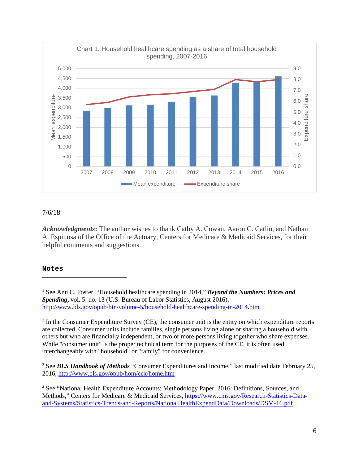

### 7/6/18

*Acknowledgments***:** The author wishes to thank Cathy A. Cowan, Aaron C. Catlin, and Nathan A. Espinosa of the Office of the Actuary, Centers for Medicare & Medicaid Services, for their helpful comments and suggestions.

### **Notes**

 $\overline{a}$ 

<span id="page-5-0"></span>1 See Ann C. Foster, "Household healthcare spending in 2014," *Beyond the Numbers***:** *Prices and Spending***,** vol. 5. no. 13 (U.S. Bureau of Labor Statistics, August 2016), <http://www.bls.gov/opub/btn/volume-5/household-healthcare-spending-in-2014.htm>

<span id="page-5-1"></span> $2$  In the Consumer Expenditure Survey (CE), the consumer unit is the entity on which expenditure reports are collected. Consumer units include families, single persons living alone or sharing a household with others but who are financially independent, or two or more persons living together who share expenses. While "consumer unit" is the proper technical term for the purposes of the CE, it is often used interchangeably with "household" or "family" for convenience.

<span id="page-5-2"></span><sup>3</sup> See *BLS Handbook of Methods* "Consumer Expenditures and Income," last modified date February 25, 2016,<http://www.bls.gov/opub/hom/cex/home.htm>

<span id="page-5-3"></span><sup>4</sup> See "National Health Expenditure Accounts: Methodology Paper, 2016: Definitions, Sources, and Methods," Centers for Medicare & Medicaid Services, [https://www.cms.gov/Research-Statistics-Data](https://www.cms.gov/Research-Statistics-Data-and-Systems/Statistics-Trends-and-Reports/NationalHealthExpendData/Downloads/DSM-16.pdf)[and-Systems/Statistics-Trends-and-Reports/NationalHealthExpendData/Downloads/DSM-16.pdf](https://www.cms.gov/Research-Statistics-Data-and-Systems/Statistics-Trends-and-Reports/NationalHealthExpendData/Downloads/DSM-16.pdf)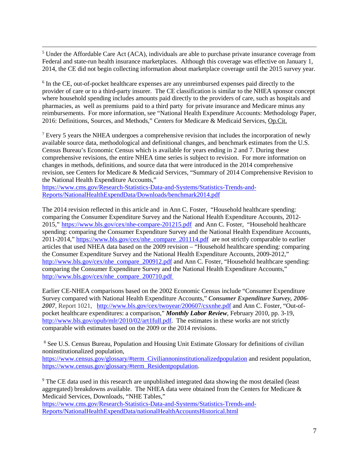<span id="page-6-0"></span> 5 <sup>5</sup> Under the Affordable Care Act (ACA), individuals are able to purchase private insurance coverage from Federal and state-run health insurance marketplaces. Although this coverage was effective on January 1, 2014, the CE did not begin collecting information about marketplace coverage until the 2015 survey year.

<span id="page-6-1"></span><sup>6</sup> In the CE, out-of-pocket healthcare expenses are any unreimbursed expenses paid directly to the provider of care or to a third-party insurer. The CE classification is similar to the NHEA sponsor concept where household spending includes amounts paid directly to the providers of care, such as hospitals and pharmacies, as well as premiums paid to a third party for private insurance and Medicare minus any reimbursements. For more information, see "National Health Expenditure Accounts: Methodology Paper, 2016: Definitions, Sources, and Methods," Centers for Medicare & Medicaid Services, Op.Cit.

<span id="page-6-2"></span><sup>7</sup> Every 5 years the NHEA undergoes a comprehensive revision that includes the incorporation of newly available source data, methodological and definitional changes, and benchmark estimates from the U.S. Census Bureau's Economic Census which is available for years ending in 2 and 7. During these comprehensive revisions, the entire NHEA time series is subject to revision. For more information on changes in methods, definitions, and source data that were introduced in the 2014 comprehensive revision, see Centers for Medicare & Medicaid Services, "Summary of 2014 Comprehensive Revision to the National Health Expenditure Accounts,"

[https://www.cms.gov/Research-Statistics-Data-and-Systems/Statistics-Trends-and-](https://www.cms.gov/Research-Statistics-Data-and-Systems/Statistics-Trends-and-Reports/NationalHealthExpendData/Downloads/benchmark2014.pdf)[Reports/NationalHealthExpendData/Downloads/benchmark2014.pdf](https://www.cms.gov/Research-Statistics-Data-and-Systems/Statistics-Trends-and-Reports/NationalHealthExpendData/Downloads/benchmark2014.pdf) 

The 2014 revision reflected in this article and in Ann C. Foster, "Household healthcare spending: comparing the Consumer Expenditure Survey and the National Health Expenditure Accounts, 2012- 2015," <https://www.bls.gov/cex/nhe-compare-201215.pdf>and Ann C. Foster, "Household healthcare spending: comparing the Consumer Expenditure Survey and the National Health Expenditure Accounts, 2011-2014," [https://www.bls.gov/cex/nhe\\_compare\\_201114.pdf](https://www.bls.gov/cex/nhe_compare_201114.pdf) are not strictly comparable to earlier articles that used NHEA data based on the 2009 revision – "Household healthcare spending: comparing the Consumer Expenditure Survey and the National Health Expenditure Accounts, 2009-2012," [http://www.bls.gov/cex/nhe\\_compare\\_200912.pdf](http://www.bls.gov/cex/nhe_compare_200912.pdf) and Ann C. Foster, "Household healthcare spending: comparing the Consumer Expenditure Survey and the National Health Expenditure Accounts," [http://www.bls.gov/cex/nhe\\_compare\\_200710.pdf](http://www.bls.gov/cex/nhe_compare_200710.pdf)

Earlier CE-NHEA comparisons based on the 2002 Economic Census include "Consumer Expenditure Survey compared with National Health Expenditure Accounts," *Consumer Expenditure Survey, 2006- 2007*, Report 1021, <http://www.bls.gov/cex/twoyear/200607/csxnhe.pdf> and Ann C. Foster, "Out-ofpocket healthcare expenditures: a comparison," *Monthly Labor Review*, February 2010, pp. 3-19, [http://www.bls.gov/opub/mlr/2010/02/art1full.pdf.](http://www.bls.gov/opub/mlr/2010/02/art1full.pdf) The estimates in these works are not strictly comparable with estimates based on the 2009 or the 2014 revisions.

<span id="page-6-3"></span><sup>8</sup> See U.S. Census Bureau, Population and Housing Unit Estimate Glossary for definitions of civilian noninstitutionalized population,

[https://www.census.gov/glossary/#term\\_Civiliannoninstitutionalizedpopulation](https://www.census.gov/glossary/#term_Civiliannoninstitutionalizedpopulation) and resident population, [https://www.census.gov/glossary/#term\\_Residentpopulation.](https://www.census.gov/glossary/#term_Residentpopulation)

<span id="page-6-4"></span><sup>9</sup> The CE data used in this research are unpublished integrated data showing the most detailed (least aggregated) breakdowns available. The NHEA data were obtained from the Centers for Medicare & Medicaid Services, Downloads, "NHE Tables,"

[https://www.cms.gov/Research-Statistics-Data-and-Systems/Statistics-Trends-and-](https://www.cms.gov/Research-Statistics-Data-and-Systems/Statistics-Trends-and-Reports/NationalHealthExpendData/nationalHealthAccountsHistorical.html)[Reports/NationalHealthExpendData/nationalHealthAccountsHistorical.html](https://www.cms.gov/Research-Statistics-Data-and-Systems/Statistics-Trends-and-Reports/NationalHealthExpendData/nationalHealthAccountsHistorical.html)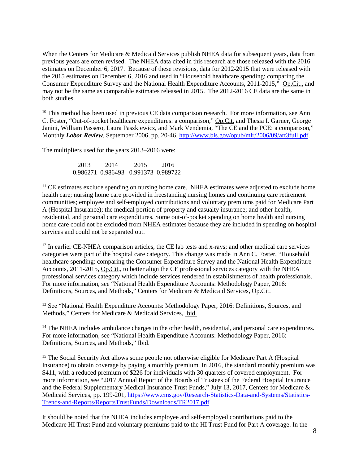$\overline{a}$ When the Centers for Medicare & Medicaid Services publish NHEA data for subsequent years, data from previous years are often revised. The NHEA data cited in this research are those released with the 2016 estimates on December 6, 2017. Because of these revisions, data for 2012-2015 that were released with the 2015 estimates on December 6, 2016 and used in "Household healthcare spending: comparing the Consumer Expenditure Survey and the National Health Expenditure Accounts, 2011-2015," Op.Cit., and may not be the same as comparable estimates released in 2015. The 2012-2016 CE data are the same in both studies.

<span id="page-7-0"></span> $10$  This method has been used in previous CE data comparison research. For more information, see Ann C. Foster, "Out-of-pocket healthcare expenditures: a comparison," Op.Cit. and Thesia I. Garner, George Janini, William Passero, Laura Paszkiewicz, and Mark Vendemia, "The CE and the PCE: a comparison," Monthly *Labor Review*, September 2006, pp. 20-46[, http://www.bls.gov/opub/mlr/2006/09/art3full.pdf.](http://www.bls.gov/opub/mlr/2006/09/art3full.pdf)

The multipliers used for the years 2013–2016 were:

 2013 2014 2015 2016 0.986271 0.986493 0.991373 0.989722

 $<sup>11</sup>$  CE estimates exclude spending on nursing home care. NHEA estimates were adjusted to exclude home</sup> health care; nursing home care provided in freestanding nursing homes and continuing care retirement communities; employee and self-employed contributions and voluntary premiums paid for Medicare Part A (Hospital Insurance); the medical portion of property and casualty insurance; and other health, residential, and personal care expenditures. Some out-of-pocket spending on home health and nursing home care could not be excluded from NHEA estimates because they are included in spending on hospital services and could not be separated out.

<span id="page-7-2"></span><span id="page-7-1"></span><sup>12</sup> In earlier CE-NHEA comparison articles, the CE lab tests and x-rays; and other medical care services categories were part of the hospital care category. This change was made in Ann C. Foster, "Household healthcare spending: comparing the Consumer Expenditure Survey and the National Health Expenditure Accounts, 2011-2015, Op.Cit., to better align the CE professional services category with the NHEA professional services category which include services rendered in establishments of health professionals. For more information, see "National Health Expenditure Accounts: Methodology Paper, 2016: Definitions, Sources, and Methods," Centers for Medicare & Medicaid Services, Op.Cit.

<span id="page-7-3"></span><sup>13</sup> See "National Health Expenditure Accounts: Methodology Paper, 2016: Definitions, Sources, and Methods," Centers for Medicare & Medicaid Services, Ibid.

<span id="page-7-4"></span><sup>14</sup> The NHEA includes ambulance charges in the other health, residential, and personal care expenditures. For more information, see "National Health Expenditure Accounts: Methodology Paper, 2016: Definitions, Sources, and Methods," Ibid.

<span id="page-7-5"></span><sup>15</sup> The Social Security Act allows some people not otherwise eligible for Medicare Part A (Hospital Insurance) to obtain coverage by paying a monthly premium. In 2016, the standard monthly premium was \$411, with a reduced premium of \$226 for individuals with 30 quarters of covered employment. For more information, see "2017 Annual Report of the Boards of Trustees of the Federal Hospital Insurance and the Federal Supplementary Medical Insurance Trust Funds," July 13, 2017, Centers for Medicare & Medicaid Services, pp. 199-201, [https://www.cms.gov/Research-Statistics-Data-and-Systems/Statistics-](https://www.cms.gov/Research-Statistics-Data-and-Systems/Statistics-Trends-and-Reports/ReportsTrustFunds/Downloads/TR2017.pdf)[Trends-and-Reports/ReportsTrustFunds/Downloads/TR2017.pdf](https://www.cms.gov/Research-Statistics-Data-and-Systems/Statistics-Trends-and-Reports/ReportsTrustFunds/Downloads/TR2017.pdf) 

It should be noted that the NHEA includes employee and self-employed contributions paid to the Medicare HI Trust Fund and voluntary premiums paid to the HI Trust Fund for Part A coverage. In the